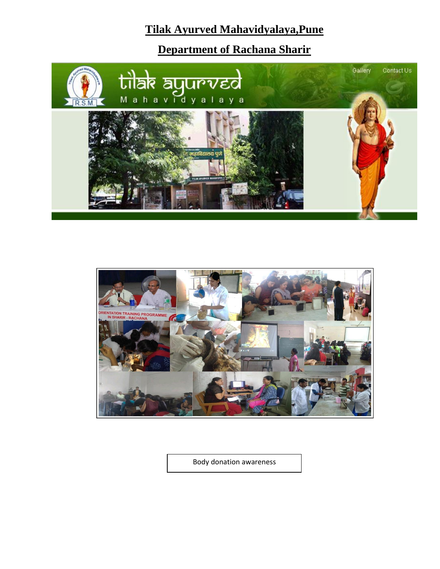# **Tilak Ayurved Mahavidyalaya,Pune**

**Department of Rachana Sharir**





Body donation awareness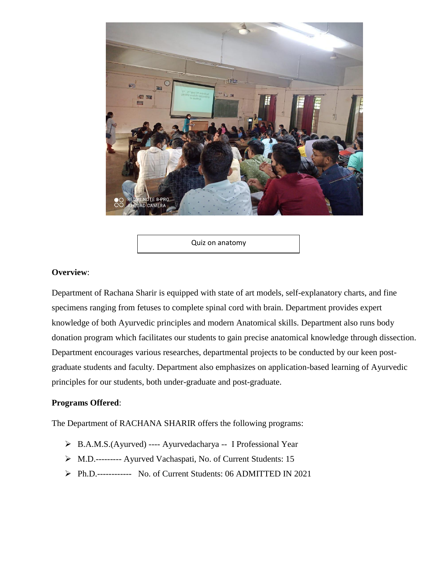

Quiz on anatomy

#### **Overview**:

Department of Rachana Sharir is equipped with state of art models, self-explanatory charts, and fine specimens ranging from fetuses to complete spinal cord with brain. Department provides expert knowledge of both Ayurvedic principles and modern Anatomical skills. Department also runs body donation program which facilitates our students to gain precise anatomical knowledge through dissection. Department encourages various researches, departmental projects to be conducted by our keen postgraduate students and faculty. Department also emphasizes on application-based learning of Ayurvedic principles for our students, both under-graduate and post-graduate.

#### **Programs Offered**:

The Department of RACHANA SHARIR offers the following programs:

- B.A.M.S.(Ayurved) ---- Ayurvedacharya -- I Professional Year
- M.D.--------- Ayurved Vachaspati, No. of Current Students: 15
- Ph.D.------------ No. of Current Students: 06 ADMITTED IN 2021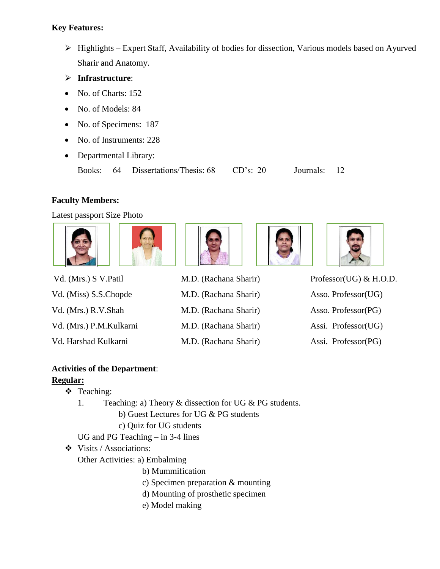## **Key Features:**

- $\triangleright$  Highlights Expert Staff, Availability of bodies for dissection, Various models based on Ayurved Sharir and Anatomy.
- **Infrastructure**:
- No. of Charts: 152
- No. of Models: 84
- No. of Specimens: 187
- No. of Instruments: 228
- Departmental Library:

Books: 64 Dissertations/Thesis: 68 CD's: 20 Journals: 12

## **Faculty Members:**

Latest passport Size Photo



| Vd. (Mrs.) S V. Patil   |
|-------------------------|
| Vd. (Miss) S.S.Chopde   |
| Vd. (Mrs.) R.V.Shah     |
| Vd. (Mrs.) P.M.Kulkarni |
| Vd. Harshad Kulkarni    |



M.D. (Rachana Sharir) Asso. Professor(UG) M.D. (Rachana Sharir) Asso. Professor(PG) M.D. (Rachana Sharir) Assi. Professor(UG)





Vd. (Mrs.) S V.Patil M.D. (Rachana Sharir) Professor(UG) & H.O.D. M.D. (Rachana Sharir) Assi. Professor(PG)

## **Activities of the Department**:

## **Regular:**

- Teaching:
	- 1. Teaching: a) Theory & dissection for UG & PG students.

b) Guest Lectures for UG & PG students

c) Quiz for UG students

- UG and PG Teaching in 3-4 lines
- Visits / Associations:

Other Activities: a) Embalming

- b) Mummification
- c) Specimen preparation & mounting
- d) Mounting of prosthetic specimen
- e) Model making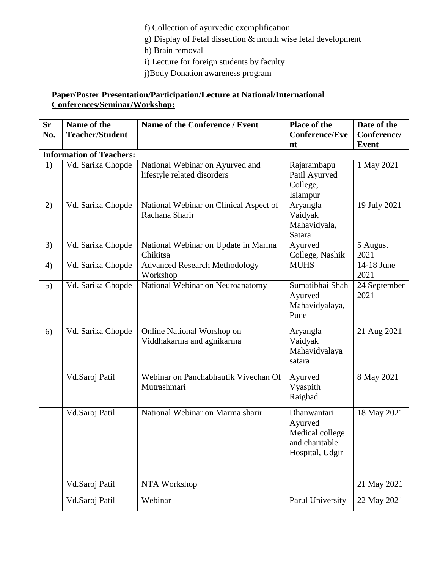f) Collection of ayurvedic exemplification

g) Display of Fetal dissection & month wise fetal development

h) Brain removal

i) Lecture for foreign students by faculty

j)Body Donation awareness program

## **Paper/Poster Presentation/Participation/Lecture at National/International Conferences/Seminar/Workshop:**

| <b>Sr</b> | Name of the                     | Name of the Conference / Event                                 | <b>Place of the</b>                                                            | Date of the          |  |  |  |
|-----------|---------------------------------|----------------------------------------------------------------|--------------------------------------------------------------------------------|----------------------|--|--|--|
| No.       | <b>Teacher/Student</b>          |                                                                | <b>Conference/Eve</b>                                                          | Conference/          |  |  |  |
|           |                                 |                                                                | nt                                                                             | <b>Event</b>         |  |  |  |
|           | <b>Information of Teachers:</b> |                                                                |                                                                                |                      |  |  |  |
| 1)        | Vd. Sarika Chopde               | National Webinar on Ayurved and<br>lifestyle related disorders | Rajarambapu<br>Patil Ayurved<br>College,<br>Islampur                           | 1 May 2021           |  |  |  |
| 2)        | Vd. Sarika Chopde               | National Webinar on Clinical Aspect of<br>Rachana Sharir       | Aryangla<br>Vaidyak<br>Mahavidyala,<br>Satara                                  | 19 July 2021         |  |  |  |
| 3)        | Vd. Sarika Chopde               | National Webinar on Update in Marma<br>Chikitsa                | Ayurved<br>College, Nashik                                                     | 5 August<br>2021     |  |  |  |
| 4)        | Vd. Sarika Chopde               | <b>Advanced Research Methodology</b><br>Workshop               | <b>MUHS</b>                                                                    | 14-18 June<br>2021   |  |  |  |
| 5)        | Vd. Sarika Chopde               | National Webinar on Neuroanatomy                               | Sumatibhai Shah<br>Ayurved<br>Mahavidyalaya,<br>Pune                           | 24 September<br>2021 |  |  |  |
| 6)        | Vd. Sarika Chopde               | Online National Worshop on<br>Viddhakarma and agnikarma        | Aryangla<br>Vaidyak<br>Mahavidyalaya<br>satara                                 | 21 Aug 2021          |  |  |  |
|           | Vd.Saroj Patil                  | Webinar on Panchabhautik Vivechan Of<br>Mutrashmari            | Ayurved<br>Vyaspith<br>Raighad                                                 | 8 May 2021           |  |  |  |
|           | Vd.Saroj Patil                  | National Webinar on Marma sharir                               | Dhanwantari<br>Ayurved<br>Medical college<br>and charitable<br>Hospital, Udgir | 18 May 2021          |  |  |  |
|           | Vd.Saroj Patil                  | NTA Workshop                                                   |                                                                                | 21 May 2021          |  |  |  |
|           | Vd.Saroj Patil                  | Webinar                                                        | Parul University                                                               | 22 May 2021          |  |  |  |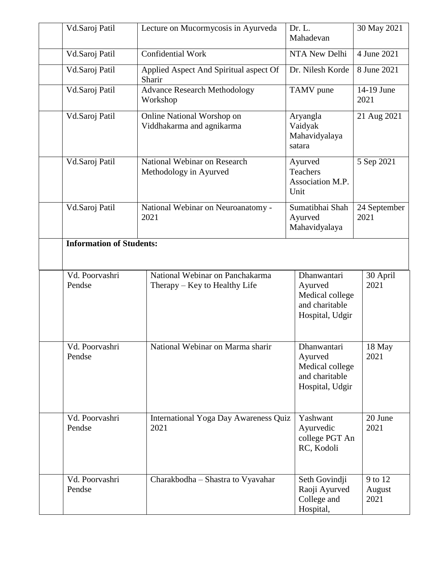| Vd.Saroj Patil                  | Lecture on Mucormycosis in Ayurveda                              | Dr. L.<br>Mahadevan                                                            | 30 May 2021               |
|---------------------------------|------------------------------------------------------------------|--------------------------------------------------------------------------------|---------------------------|
| Vd.Saroj Patil                  | Confidential Work                                                | NTA New Delhi                                                                  | 4 June 2021               |
| Vd.Saroj Patil                  | Applied Aspect And Spiritual aspect Of<br>Sharir                 | Dr. Nilesh Korde                                                               | 8 June 2021               |
| Vd.Saroj Patil                  | <b>Advance Research Methodology</b><br>Workshop                  | TAMV pune                                                                      | 14-19 June<br>2021        |
| Vd.Saroj Patil                  | Online National Worshop on<br>Viddhakarma and agnikarma          | Aryangla<br>Vaidyak<br>Mahavidyalaya<br>satara                                 | 21 Aug 2021               |
| Vd.Saroj Patil                  | National Webinar on Research<br>Methodology in Ayurved           | Ayurved<br><b>Teachers</b><br>Association M.P.<br>Unit                         | 5 Sep 2021                |
| Vd.Saroj Patil                  | National Webinar on Neuroanatomy -<br>2021                       | Sumatibhai Shah<br>Ayurved<br>Mahavidyalaya                                    | 24 September<br>2021      |
| <b>Information of Students:</b> |                                                                  |                                                                                |                           |
|                                 |                                                                  |                                                                                |                           |
| Vd. Poorvashri<br>Pendse        | National Webinar on Panchakarma<br>Therapy – Key to Healthy Life | Dhanwantari<br>Ayurved<br>Medical college<br>and charitable<br>Hospital, Udgir | 30 April<br>2021          |
| Vd. Poorvashri<br>Pendse        | National Webinar on Marma sharir                                 | Dhanwantari<br>Ayurved<br>Medical college<br>and charitable<br>Hospital, Udgir | 18 May<br>2021            |
| Vd. Poorvashri<br>Pendse        | International Yoga Day Awareness Quiz<br>2021                    | Yashwant<br>Ayurvedic<br>college PGT An<br>RC, Kodoli                          | 20 June<br>2021           |
| Vd. Poorvashri<br>Pendse        | Charakbodha - Shastra to Vyavahar                                | Seth Govindji<br>Raoji Ayurved<br>College and<br>Hospital,                     | 9 to 12<br>August<br>2021 |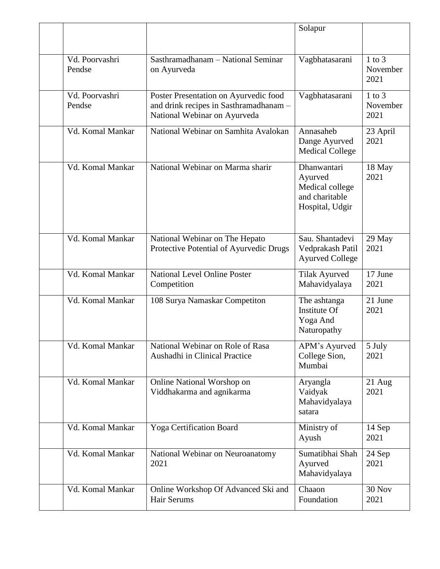|                          |                                                                                                                 | Solapur                                                                        |                                |
|--------------------------|-----------------------------------------------------------------------------------------------------------------|--------------------------------------------------------------------------------|--------------------------------|
| Vd. Poorvashri<br>Pendse | Sasthramadhanam - National Seminar<br>on Ayurveda                                                               | Vagbhatasarani                                                                 | $1$ to $3$<br>November<br>2021 |
| Vd. Poorvashri<br>Pendse | Poster Presentation on Ayurvedic food<br>and drink recipes in Sasthramadhanam -<br>National Webinar on Ayurveda | Vagbhatasarani                                                                 | $1$ to $3$<br>November<br>2021 |
| Vd. Komal Mankar         | National Webinar on Samhita Avalokan                                                                            | Annasaheb<br>Dange Ayurved<br><b>Medical College</b>                           | 23 April<br>2021               |
| Vd. Komal Mankar         | National Webinar on Marma sharir                                                                                | Dhanwantari<br>Ayurved<br>Medical college<br>and charitable<br>Hospital, Udgir | 18 May<br>2021                 |
| Vd. Komal Mankar         | National Webinar on The Hepato<br>Protective Potential of Ayurvedic Drugs                                       | Sau. Shantadevi<br>Vedprakash Patil<br><b>Ayurved College</b>                  | 29 May<br>2021                 |
| Vd. Komal Mankar         | <b>National Level Online Poster</b><br>Competition                                                              | <b>Tilak Ayurved</b><br>Mahavidyalaya                                          | 17 June<br>2021                |
| Vd. Komal Mankar         | 108 Surya Namaskar Competiton                                                                                   | The ashtanga<br><b>Institute Of</b><br>Yoga And<br>Naturopathy                 | 21 June<br>2021                |
| Vd. Komal Mankar         | National Webinar on Role of Rasa<br>Aushadhi in Clinical Practice                                               | APM's Ayurved<br>College Sion,<br>Mumbai                                       | 5 July<br>2021                 |
| Vd. Komal Mankar         | Online National Worshop on<br>Viddhakarma and agnikarma                                                         | Aryangla<br>Vaidyak<br>Mahavidyalaya<br>satara                                 | $21$ Aug<br>2021               |
| Vd. Komal Mankar         | <b>Yoga Certification Board</b>                                                                                 | Ministry of<br>Ayush                                                           | 14 Sep<br>2021                 |
| Vd. Komal Mankar         | National Webinar on Neuroanatomy<br>2021                                                                        | Sumatibhai Shah<br>Ayurved<br>Mahavidyalaya                                    | 24 Sep<br>2021                 |
| Vd. Komal Mankar         | Online Workshop Of Advanced Ski and<br>Hair Serums                                                              | Chaaon<br>Foundation                                                           | <b>30 Nov</b><br>2021          |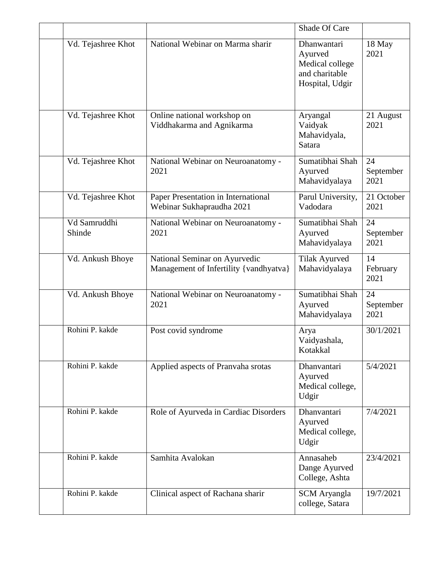|                        |                                                                         | Shade Of Care                                                                  |                         |
|------------------------|-------------------------------------------------------------------------|--------------------------------------------------------------------------------|-------------------------|
| Vd. Tejashree Khot     | National Webinar on Marma sharir                                        | Dhanwantari<br>Ayurved<br>Medical college<br>and charitable<br>Hospital, Udgir | 18 May<br>2021          |
| Vd. Tejashree Khot     | Online national workshop on<br>Viddhakarma and Agnikarma                | Aryangal<br>Vaidyak<br>Mahavidyala,<br>Satara                                  | 21 August<br>2021       |
| Vd. Tejashree Khot     | National Webinar on Neuroanatomy -<br>2021                              | Sumatibhai Shah<br>Ayurved<br>Mahavidyalaya                                    | 24<br>September<br>2021 |
| Vd. Tejashree Khot     | Paper Presentation in International<br>Webinar Sukhapraudha 2021        | Parul University,<br>Vadodara                                                  | 21 October<br>2021      |
| Vd Samruddhi<br>Shinde | National Webinar on Neuroanatomy -<br>2021                              | Sumatibhai Shah<br>Ayurved<br>Mahavidyalaya                                    | 24<br>September<br>2021 |
| Vd. Ankush Bhoye       | National Seminar on Ayurvedic<br>Management of Infertility {vandhyatva} | Tilak Ayurved<br>Mahavidyalaya                                                 | 14<br>February<br>2021  |
| Vd. Ankush Bhoye       | National Webinar on Neuroanatomy -<br>2021                              | Sumatibhai Shah<br>Ayurved<br>Mahavidyalaya                                    | 24<br>September<br>2021 |
| Rohini P. kakde        | Post covid syndrome                                                     | Arya<br>Vaidyashala,<br>Kotakkal                                               | 30/1/2021               |
| Rohini P. kakde        | Applied aspects of Pranvaha srotas                                      | Dhanvantari<br>Ayurved<br>Medical college,<br>Udgir                            | 5/4/2021                |
| Rohini P. kakde        | Role of Ayurveda in Cardiac Disorders                                   | Dhanvantari<br>Ayurved<br>Medical college,<br>Udgir                            | 7/4/2021                |
| Rohini P. kakde        | Samhita Avalokan                                                        | Annasaheb<br>Dange Ayurved<br>College, Ashta                                   | 23/4/2021               |
| Rohini P. kakde        | Clinical aspect of Rachana sharir                                       | <b>SCM</b> Aryangla<br>college, Satara                                         | 19/7/2021               |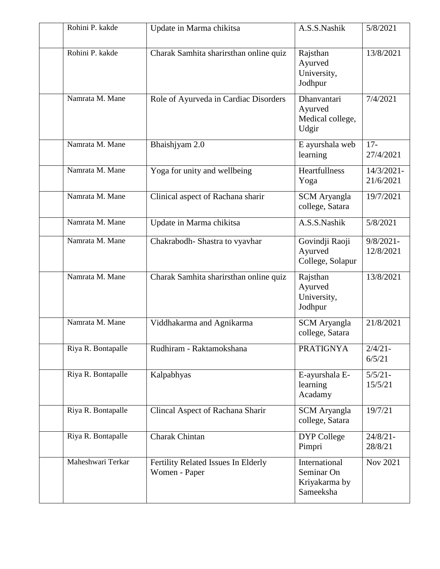| Rohini P. kakde    | Update in Marma chikitsa                             | A.S.S.Nashik                                              | 5/8/2021                  |
|--------------------|------------------------------------------------------|-----------------------------------------------------------|---------------------------|
| Rohini P. kakde    | Charak Samhita sharirsthan online quiz               | Rajsthan<br>Ayurved<br>University,<br>Jodhpur             | 13/8/2021                 |
| Namrata M. Mane    | Role of Ayurveda in Cardiac Disorders                | Dhanvantari<br>Ayurved<br>Medical college,<br>Udgir       | 7/4/2021                  |
| Namrata M. Mane    | Bhaishjyam 2.0                                       | E ayurshala web<br>learning                               | $17 -$<br>27/4/2021       |
| Namrata M. Mane    | Yoga for unity and wellbeing                         | Heartfullness<br>Yoga                                     | 14/3/2021-<br>21/6/2021   |
| Namrata M. Mane    | Clinical aspect of Rachana sharir                    | <b>SCM</b> Aryangla<br>college, Satara                    | 19/7/2021                 |
| Namrata M. Mane    | Update in Marma chikitsa                             | A.S.S.Nashik                                              | 5/8/2021                  |
| Namrata M. Mane    | Chakrabodh-Shastra to vyavhar                        | Govindji Raoji<br>Ayurved<br>College, Solapur             | $9/8/2021 -$<br>12/8/2021 |
| Namrata M. Mane    | Charak Samhita sharirsthan online quiz               | Rajsthan<br>Ayurved<br>University,<br>Jodhpur             | 13/8/2021                 |
| Namrata M. Mane    | Viddhakarma and Agnikarma                            | <b>SCM</b> Aryangla<br>college, Satara                    | 21/8/2021                 |
| Riya R. Bontapalle | Rudhiram - Raktamokshana                             | <b>PRATIGNYA</b>                                          | $2/4/21 -$<br>6/5/21      |
| Riya R. Bontapalle | Kalpabhyas                                           | E-ayurshala E-<br>learning<br>Acadamy                     | $5/5/21 -$<br>15/5/21     |
| Riya R. Bontapalle | Clincal Aspect of Rachana Sharir                     | <b>SCM</b> Aryangla<br>college, Satara                    | 19/7/21                   |
| Riya R. Bontapalle | Charak Chintan                                       | DYP College<br>Pimpri                                     | $24/8/21 -$<br>28/8/21    |
| Maheshwari Terkar  | Fertility Related Issues In Elderly<br>Women - Paper | International<br>Seminar On<br>Kriyakarma by<br>Sameeksha | Nov 2021                  |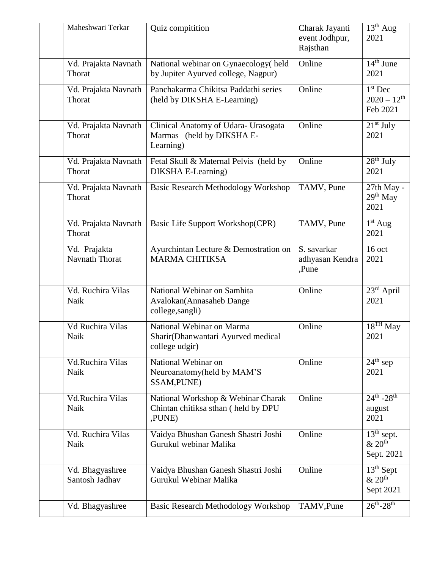| Maheshwari Terkar                 | Quiz compitition                                                                    | Charak Jayanti<br>event Jodhpur,<br>Rajsthan | $13th$ Aug<br>2021                                 |
|-----------------------------------|-------------------------------------------------------------------------------------|----------------------------------------------|----------------------------------------------------|
| Vd. Prajakta Navnath<br>Thorat    | National webinar on Gynaecology (held<br>by Jupiter Ayurved college, Nagpur)        | Online                                       | $14th$ June<br>2021                                |
| Vd. Prajakta Navnath<br>Thorat    | Panchakarma Chikitsa Paddathi series<br>(held by DIKSHA E-Learning)                 | Online                                       | $1st$ Dec<br>$2020 - 12$ <sup>th</sup><br>Feb 2021 |
| Vd. Prajakta Navnath<br>Thorat    | Clinical Anatomy of Udara- Urasogata<br>Marmas (held by DIKSHA E-<br>Learning)      | Online                                       | $21st$ July<br>2021                                |
| Vd. Prajakta Navnath<br>Thorat    | Fetal Skull & Maternal Pelvis (held by<br>DIKSHA E-Learning)                        | Online                                       | $28th$ July<br>2021                                |
| Vd. Prajakta Navnath<br>Thorat    | <b>Basic Research Methodology Workshop</b>                                          | TAMV, Pune                                   | 27th May -<br>$29th$ May<br>2021                   |
| Vd. Prajakta Navnath<br>Thorat    | Basic Life Support Workshop(CPR)                                                    | TAMV, Pune                                   | $1st$ Aug<br>2021                                  |
| Vd. Prajakta<br>Navnath Thorat    | Ayurchintan Lecture & Demostration on<br><b>MARMA CHITIKSA</b>                      | S. savarkar<br>adhyasan Kendra<br>,Pune      | $16$ oct<br>2021                                   |
| Vd. Ruchira Vilas<br>Naik         | National Webinar on Samhita<br>Avalokan(Annasaheb Dange<br>college, sangli)         | Online                                       | 23rd April<br>2021                                 |
| Vd Ruchira Vilas<br>Naik          | National Webinar on Marma<br>Sharir(Dhanwantari Ayurved medical<br>college udgir)   | Online                                       | $18^{TH}$ May<br>2021                              |
| Vd.Ruchira Vilas<br>Naik          | National Webinar on<br>Neuroanatomy(held by MAM'S<br>SSAM, PUNE)                    | Online                                       | $24th$ sep<br>2021                                 |
| Vd.Ruchira Vilas<br>Naik          | National Workshop & Webinar Charak<br>Chintan chitiksa sthan (held by DPU<br>,PUNE) | Online                                       | $24^{th} - 28^{th}$<br>august<br>2021              |
| Vd. Ruchira Vilas<br>Naik         | Vaidya Bhushan Ganesh Shastri Joshi<br>Gurukul webinar Malika                       | Online                                       | $13th$ sept.<br>& 20 <sup>th</sup><br>Sept. 2021   |
| Vd. Bhagyashree<br>Santosh Jadhav | Vaidya Bhushan Ganesh Shastri Joshi<br>Gurukul Webinar Malika                       | Online                                       | $13th$ Sept<br>& 20 <sup>th</sup><br>Sept 2021     |
| Vd. Bhagyashree                   | Basic Research Methodology Workshop                                                 | TAMV, Pune                                   | $26^{th} - 28^{th}$                                |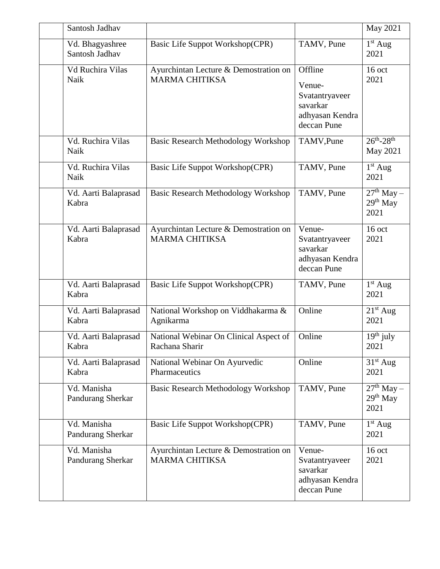| Santosh Jadhav                    |                                                                |                                                                                   | May 2021                           |
|-----------------------------------|----------------------------------------------------------------|-----------------------------------------------------------------------------------|------------------------------------|
| Vd. Bhagyashree<br>Santosh Jadhav | Basic Life Suppot Workshop(CPR)                                | TAMV, Pune                                                                        | $1st$ Aug<br>2021                  |
| Vd Ruchira Vilas<br>Naik          | Ayurchintan Lecture & Demostration on<br><b>MARMA CHITIKSA</b> | Offline<br>Venue-<br>Svatantryaveer<br>savarkar<br>adhyasan Kendra<br>deccan Pune | $16$ oct<br>2021                   |
| Vd. Ruchira Vilas<br>Naik         | <b>Basic Research Methodology Workshop</b>                     | TAMV, Pune                                                                        | $26^{th} - 28^{th}$<br>May 2021    |
| Vd. Ruchira Vilas<br>Naik         | Basic Life Suppot Workshop(CPR)                                | TAMV, Pune                                                                        | $1st$ Aug<br>2021                  |
| Vd. Aarti Balaprasad<br>Kabra     | <b>Basic Research Methodology Workshop</b>                     | TAMV, Pune                                                                        | $27th$ May –<br>$29th$ May<br>2021 |
| Vd. Aarti Balaprasad<br>Kabra     | Ayurchintan Lecture & Demostration on<br><b>MARMA CHITIKSA</b> | Venue-<br>Svatantryaveer<br>savarkar<br>adhyasan Kendra<br>deccan Pune            | $16$ oct<br>2021                   |
| Vd. Aarti Balaprasad<br>Kabra     | Basic Life Suppot Workshop(CPR)                                | TAMV, Pune                                                                        | $1st$ Aug<br>2021                  |
| Vd. Aarti Balaprasad<br>Kabra     | National Workshop on Viddhakarma &<br>Agnikarma                | Online                                                                            | $21st$ Aug<br>2021                 |
| Vd. Aarti Balaprasad<br>Kabra     | National Webinar On Clinical Aspect of<br>Rachana Sharir       | Online                                                                            | $19th$ july<br>2021                |
| Vd. Aarti Balaprasad<br>Kabra     | National Webinar On Ayurvedic<br>Pharmaceutics                 | Online                                                                            | $31st$ Aug<br>2021                 |
| Vd. Manisha<br>Pandurang Sherkar  | Basic Research Methodology Workshop                            | TAMV, Pune                                                                        | $27th$ May –<br>$29th$ May<br>2021 |
| Vd. Manisha<br>Pandurang Sherkar  | Basic Life Suppot Workshop(CPR)                                | TAMV, Pune                                                                        | $1st$ Aug<br>2021                  |
| Vd. Manisha<br>Pandurang Sherkar  | Ayurchintan Lecture & Demostration on<br><b>MARMA CHITIKSA</b> | Venue-<br>Svatantryaveer<br>savarkar<br>adhyasan Kendra<br>deccan Pune            | $16$ oct<br>2021                   |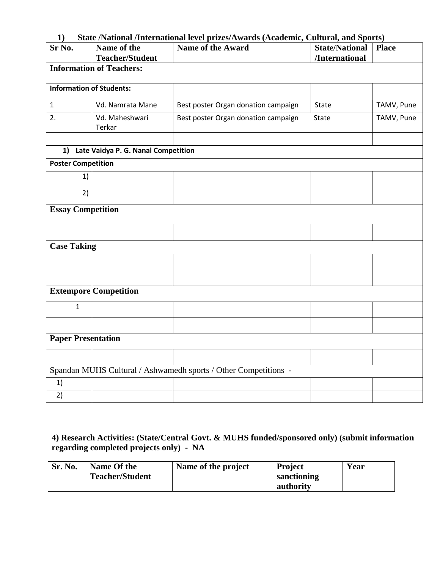#### **1) State /National /International level prizes/Awards (Academic, Cultural, and Sports)**

| Sr No.                          | Name of the<br><b>Teacher/Student</b>  | $\frac{1}{2}$<br>Name of the Award                              | <b>State/National   Place</b> |            |
|---------------------------------|----------------------------------------|-----------------------------------------------------------------|-------------------------------|------------|
|                                 | <b>Information of Teachers:</b>        |                                                                 | /International                |            |
|                                 |                                        |                                                                 |                               |            |
| <b>Information of Students:</b> |                                        |                                                                 |                               |            |
| $\mathbf{1}$                    | Vd. Namrata Mane                       | Best poster Organ donation campaign                             | State                         | TAMV, Pune |
| 2.                              | Vd. Maheshwari<br>Terkar               | Best poster Organ donation campaign                             | State                         | TAMV, Pune |
|                                 |                                        |                                                                 |                               |            |
|                                 | 1) Late Vaidya P. G. Nanal Competition |                                                                 |                               |            |
| <b>Poster Competition</b>       |                                        |                                                                 |                               |            |
| 1)                              |                                        |                                                                 |                               |            |
| 2)                              |                                        |                                                                 |                               |            |
| <b>Essay Competition</b>        |                                        |                                                                 |                               |            |
|                                 |                                        |                                                                 |                               |            |
| <b>Case Taking</b>              |                                        |                                                                 |                               |            |
|                                 |                                        |                                                                 |                               |            |
|                                 |                                        |                                                                 |                               |            |
|                                 | <b>Extempore Competition</b>           |                                                                 |                               |            |
| $\mathbf{1}$                    |                                        |                                                                 |                               |            |
|                                 |                                        |                                                                 |                               |            |
| <b>Paper Presentation</b>       |                                        |                                                                 |                               |            |
|                                 |                                        |                                                                 |                               |            |
|                                 |                                        | Spandan MUHS Cultural / Ashwamedh sports / Other Competitions - |                               |            |
| 1)                              |                                        |                                                                 |                               |            |
| 2)                              |                                        |                                                                 |                               |            |

## **4) Research Activities: (State/Central Govt. & MUHS funded/sponsored only) (submit information regarding completed projects only) - NA**

| Sr. No. | Name Of the<br><b>Teacher/Student</b> | Name of the project | <b>Project</b><br>sanctioning | Year |
|---------|---------------------------------------|---------------------|-------------------------------|------|
|         |                                       |                     | authority                     |      |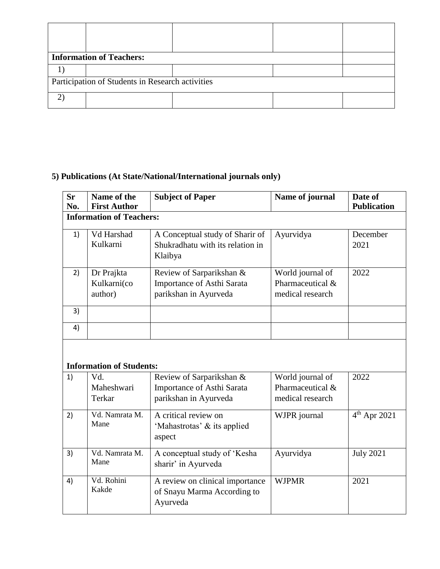|                                                  | <b>Information of Teachers:</b> |  |  |  |  |
|--------------------------------------------------|---------------------------------|--|--|--|--|
|                                                  |                                 |  |  |  |  |
| Participation of Students in Research activities |                                 |  |  |  |  |
|                                                  |                                 |  |  |  |  |

## **5) Publications (At State/National/International journals only)**

| <b>Sr</b><br>No. | Name of the<br><b>First Author</b>   | <b>Subject of Paper</b>                                                                | Name of journal                                          | Date of<br><b>Publication</b> |  |  |
|------------------|--------------------------------------|----------------------------------------------------------------------------------------|----------------------------------------------------------|-------------------------------|--|--|
|                  | <b>Information of Teachers:</b>      |                                                                                        |                                                          |                               |  |  |
| 1)               | Vd Harshad<br>Kulkarni               | A Conceptual study of Sharir of<br>Shukradhatu with its relation in<br>Klaibya         | Ayurvidya                                                | December<br>2021              |  |  |
| 2)               | Dr Prajkta<br>Kulkarni(co<br>author) | Review of Sarparikshan &<br>Importance of Asthi Sarata<br>parikshan in Ayurveda        | World journal of<br>Pharmaceutical &<br>medical research | 2022                          |  |  |
| 3)               |                                      |                                                                                        |                                                          |                               |  |  |
| 4)               |                                      |                                                                                        |                                                          |                               |  |  |
|                  | <b>Information of Students:</b>      |                                                                                        |                                                          |                               |  |  |
| 1)               | Vd.<br>Maheshwari<br>Terkar          | Review of Sarparikshan &<br><b>Importance of Asthi Sarata</b><br>parikshan in Ayurveda | World journal of<br>Pharmaceutical &<br>medical research | 2022                          |  |  |
| 2)               | Vd. Namrata M.<br>Mane               | A critical review on<br>'Mahastrotas' & its applied<br>aspect                          | WJPR journal                                             | $4th$ Apr 2021                |  |  |
| 3)               | Vd. Namrata M.<br>Mane               | A conceptual study of 'Kesha<br>sharir' in Ayurveda                                    | Ayurvidya                                                | <b>July 2021</b>              |  |  |
| 4)               | Vd. Rohini<br>Kakde                  | A review on clinical importance<br>of Snayu Marma According to<br>Ayurveda             | <b>WJPMR</b>                                             | 2021                          |  |  |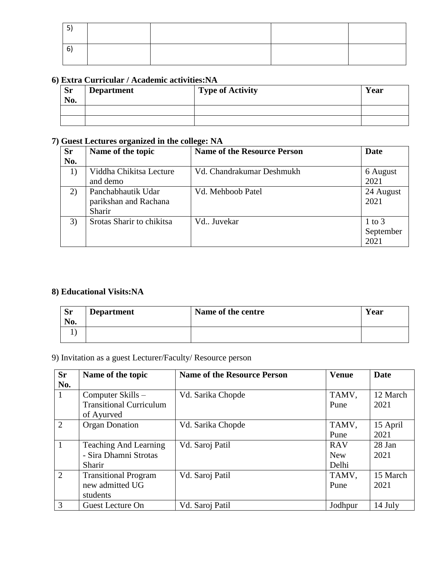| h<br>u |  |  |
|--------|--|--|

## **6) Extra Curricular / Academic activities:NA**

| <b>Sr</b><br>No. | <b>Department</b> | <b>Type of Activity</b> | Year |
|------------------|-------------------|-------------------------|------|
|                  |                   |                         |      |
|                  |                   |                         |      |

## **7) Guest Lectures organized in the college: NA**

| <b>Sr</b> | Name of the topic                                     | <b>Name of the Resource Person</b> | <b>Date</b>                     |
|-----------|-------------------------------------------------------|------------------------------------|---------------------------------|
| No.       |                                                       |                                    |                                 |
| $_{1}$    | Viddha Chikitsa Lecture<br>and demo                   | Vd. Chandrakumar Deshmukh          | 6 August<br>2021                |
| 2)        | Panchabhautik Udar<br>parikshan and Rachana<br>Sharir | Vd. Mehboob Patel                  | 24 August<br>2021               |
| 3)        | Srotas Sharir to chikitsa                             | Vd Juvekar                         | $1$ to $3$<br>September<br>2021 |

## **8) Educational Visits:NA**

| <b>Sr</b><br>No. | <b>Department</b> | Name of the centre | Year |
|------------------|-------------------|--------------------|------|
|                  |                   |                    |      |

9) Invitation as a guest Lecturer/Faculty/ Resource person

| <b>Sr</b> | Name of the topic              | <b>Name of the Resource Person</b> | <b>Venue</b> | <b>Date</b> |
|-----------|--------------------------------|------------------------------------|--------------|-------------|
| No.       |                                |                                    |              |             |
| -1        | Computer Skills -              | Vd. Sarika Chopde                  | TAMV,        | 12 March    |
|           | <b>Transitional Curriculum</b> |                                    | Pune         | 2021        |
|           | of Ayurved                     |                                    |              |             |
| 2         | <b>Organ Donation</b>          | Vd. Sarika Chopde                  | TAMV,        | 15 April    |
|           |                                |                                    | Pune         | 2021        |
|           | <b>Teaching And Learning</b>   | Vd. Saroj Patil                    | <b>RAV</b>   | 28 Jan      |
|           | - Sira Dhamni Strotas          |                                    | <b>New</b>   | 2021        |
|           | Sharir                         |                                    | Delhi        |             |
| 2         | <b>Transitional Program</b>    | Vd. Saroj Patil                    | TAMV,        | 15 March    |
|           | new admitted UG                |                                    | Pune         | 2021        |
|           | students                       |                                    |              |             |
| 3         | <b>Guest Lecture On</b>        | Vd. Saroj Patil                    | Jodhpur      | 14 July     |